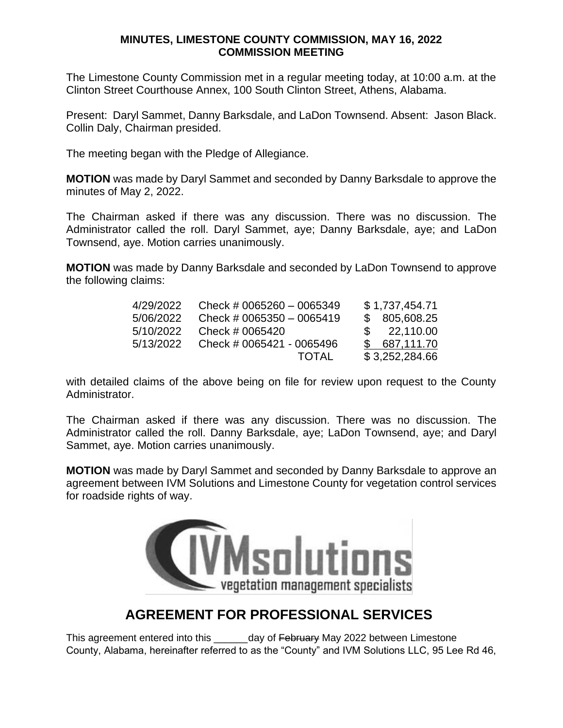The Limestone County Commission met in a regular meeting today, at 10:00 a.m. at the Clinton Street Courthouse Annex, 100 South Clinton Street, Athens, Alabama.

Present: Daryl Sammet, Danny Barksdale, and LaDon Townsend. Absent: Jason Black. Collin Daly, Chairman presided.

The meeting began with the Pledge of Allegiance.

**MOTION** was made by Daryl Sammet and seconded by Danny Barksdale to approve the minutes of May 2, 2022.

The Chairman asked if there was any discussion. There was no discussion. The Administrator called the roll. Daryl Sammet, aye; Danny Barksdale, aye; and LaDon Townsend, aye. Motion carries unanimously.

**MOTION** was made by Danny Barksdale and seconded by LaDon Townsend to approve the following claims:

| 4/29/2022 | Check # 0065260 $-$ 0065349 | \$1,737,454.71 |
|-----------|-----------------------------|----------------|
| 5/06/2022 | Check # 0065350 $-$ 0065419 | \$805,608.25   |
| 5/10/2022 | Check # 0065420             | \$22.110.00    |
| 5/13/2022 | Check # 0065421 - 0065496   | \$687,111.70   |
|           | TOTAL                       | \$3,252,284.66 |

with detailed claims of the above being on file for review upon request to the County Administrator.

The Chairman asked if there was any discussion. There was no discussion. The Administrator called the roll. Danny Barksdale, aye; LaDon Townsend, aye; and Daryl Sammet, aye. Motion carries unanimously.

**MOTION** was made by Daryl Sammet and seconded by Danny Barksdale to approve an agreement between IVM Solutions and Limestone County for vegetation control services for roadside rights of way.



# **AGREEMENT FOR PROFESSIONAL SERVICES**

This agreement entered into this day of February May 2022 between Limestone County, Alabama, hereinafter referred to as the "County" and IVM Solutions LLC, 95 Lee Rd 46,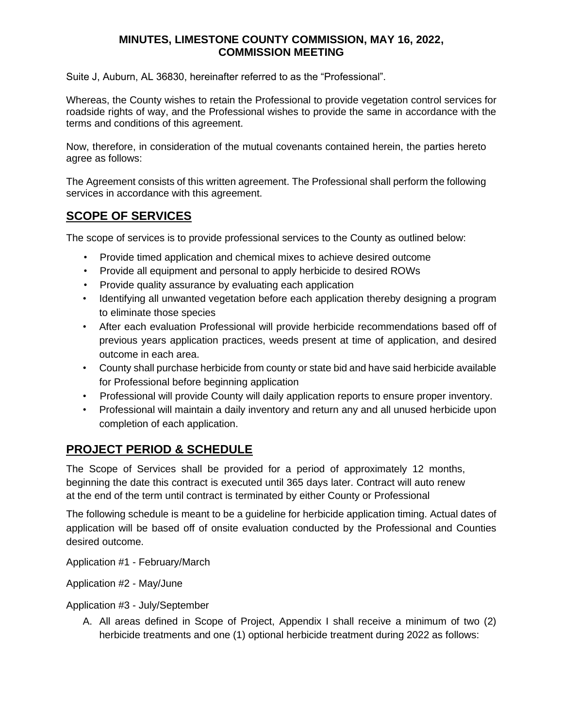Suite J, Auburn, AL 36830, hereinafter referred to as the "Professional".

Whereas, the County wishes to retain the Professional to provide vegetation control services for roadside rights of way, and the Professional wishes to provide the same in accordance with the terms and conditions of this agreement.

Now, therefore, in consideration of the mutual covenants contained herein, the parties hereto agree as follows:

The Agreement consists of this written agreement. The Professional shall perform the following services in accordance with this agreement.

# **SCOPE OF SERVICES**

The scope of services is to provide professional services to the County as outlined below:

- Provide timed application and chemical mixes to achieve desired outcome
- Provide all equipment and personal to apply herbicide to desired ROWs
- Provide quality assurance by evaluating each application
- Identifying all unwanted vegetation before each application thereby designing a program to eliminate those species
- After each evaluation Professional will provide herbicide recommendations based off of previous years application practices, weeds present at time of application, and desired outcome in each area.
- County shall purchase herbicide from county or state bid and have said herbicide available for Professional before beginning application
- Professional will provide County will daily application reports to ensure proper inventory.
- Professional will maintain a daily inventory and return any and all unused herbicide upon completion of each application.

# **PROJECT PERIOD & SCHEDULE**

The Scope of Services shall be provided for a period of approximately 12 months, beginning the date this contract is executed until 365 days later. Contract will auto renew at the end of the term until contract is terminated by either County or Professional

The following schedule is meant to be a guideline for herbicide application timing. Actual dates of application will be based off of onsite evaluation conducted by the Professional and Counties desired outcome.

Application #1 - February/March

Application #2 - May/June

Application #3 - July/September

A. All areas defined in Scope of Project, Appendix I shall receive a minimum of two (2) herbicide treatments and one (1) optional herbicide treatment during 2022 as follows: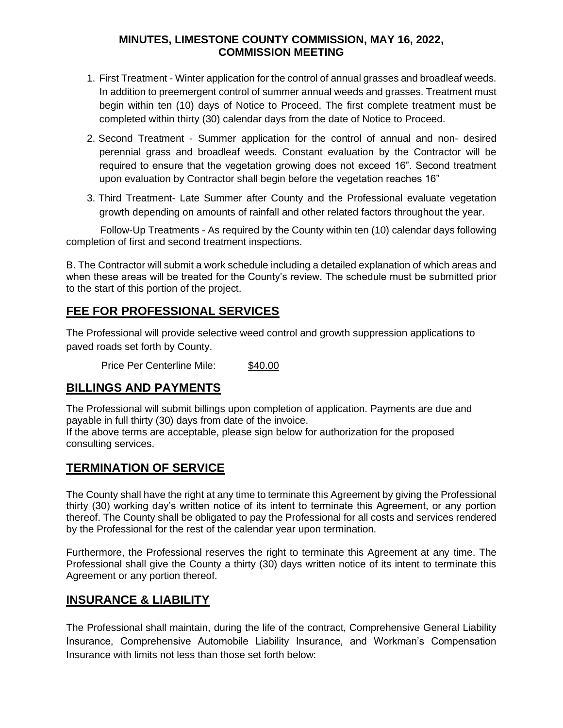- 1. First Treatment Winter application for the control of annual grasses and broadleaf weeds. In addition to preemergent control of summer annual weeds and grasses. Treatment must begin within ten (10) days of Notice to Proceed. The first complete treatment must be completed within thirty (30) calendar days from the date of Notice to Proceed.
- 2. Second Treatment Summer application for the control of annual and non- desired perennial grass and broadleaf weeds. Constant evaluation by the Contractor will be required to ensure that the vegetation growing does not exceed 16". Second treatment upon evaluation by Contractor shall begin before the vegetation reaches 16"
- 3. Third Treatment- Late Summer after County and the Professional evaluate vegetation growth depending on amounts of rainfall and other related factors throughout the year.

Follow-Up Treatments - As required by the County within ten (10) calendar days following completion of first and second treatment inspections.

B. The Contractor will submit a work schedule including a detailed explanation of which areas and when these areas will be treated for the County's review. The schedule must be submitted prior to the start of this portion of the project.

# **FEE FOR PROFESSIONAL SERVICES**

The Professional will provide selective weed control and growth suppression applications to paved roads set forth by County.

Price Per Centerline Mile: \$40.00

## **BILLINGS AND PAYMENTS**

The Professional will submit billings upon completion of application. Payments are due and payable in full thirty (30) days from date of the invoice.

If the above terms are acceptable, please sign below for authorization for the proposed consulting services.

# **TERMINATION OF SERVICE**

The County shall have the right at any time to terminate this Agreement by giving the Professional thirty (30) working day's written notice of its intent to terminate this Agreement, or any portion thereof. The County shall be obligated to pay the Professional for all costs and services rendered by the Professional for the rest of the calendar year upon termination.

Furthermore, the Professional reserves the right to terminate this Agreement at any time. The Professional shall give the County a thirty (30) days written notice of its intent to terminate this Agreement or any portion thereof.

## **INSURANCE & LIABILITY**

The Professional shall maintain, during the life of the contract, Comprehensive General Liability Insurance, Comprehensive Automobile Liability Insurance, and Workman's Compensation Insurance with limits not less than those set forth below: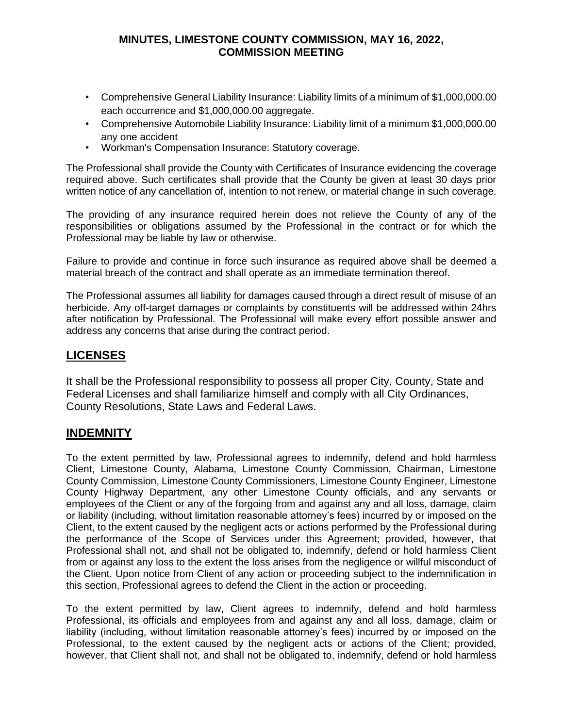- Comprehensive General Liability Insurance: Liability limits of a minimum of \$1,000,000.00 each occurrence and \$1,000,000.00 aggregate.
- Comprehensive Automobile Liability Insurance: Liability limit of a minimum \$1,000,000.00 any one accident
- Workman's Compensation Insurance: Statutory coverage.

The Professional shall provide the County with Certificates of Insurance evidencing the coverage required above. Such certificates shall provide that the County be given at least 30 days prior written notice of any cancellation of, intention to not renew, or material change in such coverage.

The providing of any insurance required herein does not relieve the County of any of the responsibilities or obligations assumed by the Professional in the contract or for which the Professional may be liable by law or otherwise.

Failure to provide and continue in force such insurance as required above shall be deemed a material breach of the contract and shall operate as an immediate termination thereof.

The Professional assumes all liability for damages caused through a direct result of misuse of an herbicide. Any off-target damages or complaints by constituents will be addressed within 24hrs after notification by Professional. The Professional will make every effort possible answer and address any concerns that arise during the contract period.

## **LICENSES**

It shall be the Professional responsibility to possess all proper City, County, State and Federal Licenses and shall familiarize himself and comply with all City Ordinances, County Resolutions, State Laws and Federal Laws.

## **INDEMNITY**

To the extent permitted by law, Professional agrees to indemnify, defend and hold harmless Client, Limestone County, Alabama, Limestone County Commission, Chairman, Limestone County Commission, Limestone County Commissioners, Limestone County Engineer, Limestone County Highway Department, any other Limestone County officials, and any servants or employees of the Client or any of the forgoing from and against any and all loss, damage, claim or liability (including, without limitation reasonable attorney's fees) incurred by or imposed on the Client, to the extent caused by the negligent acts or actions performed by the Professional during the performance of the Scope of Services under this Agreement; provided, however, that Professional shall not, and shall not be obligated to, indemnify, defend or hold harmless Client from or against any loss to the extent the loss arises from the negligence or willful misconduct of the Client. Upon notice from Client of any action or proceeding subject to the indemnification in this section, Professional agrees to defend the Client in the action or proceeding.

To the extent permitted by law, Client agrees to indemnify, defend and hold harmless Professional, its officials and employees from and against any and all loss, damage, claim or liability (including, without limitation reasonable attorney's fees) incurred by or imposed on the Professional, to the extent caused by the negligent acts or actions of the Client; provided, however, that Client shall not, and shall not be obligated to, indemnify, defend or hold harmless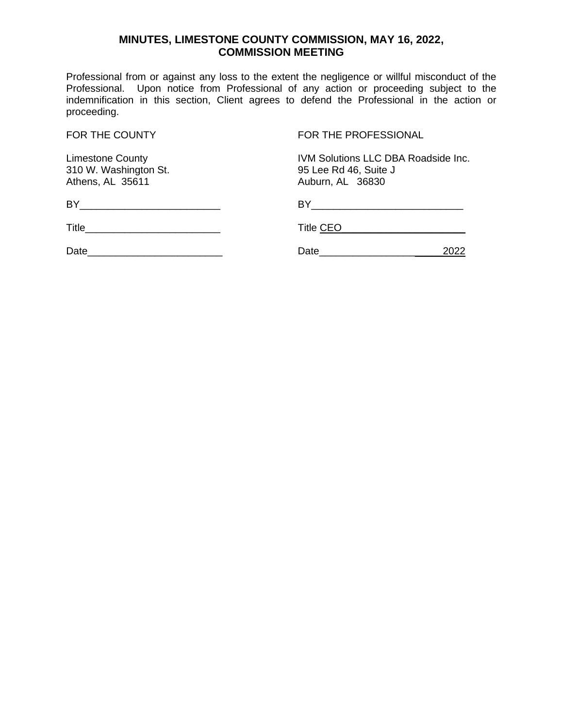Professional from or against any loss to the extent the negligence or willful misconduct of the Professional. Upon notice from Professional of any action or proceeding subject to the indemnification in this section, Client agrees to defend the Professional in the action or proceeding.

310 W. Washington St.<br>Athens, AL 35611

FOR THE COUNTY FOR THE PROFESSIONAL

Limestone County<br>
310 W. Washington St. (310 W. Washington St. (310 W. Washington St. (310 M) Auburn, AL 36830

| <b>BY</b> | <b>RV</b> |     |  |
|-----------|-----------|-----|--|
| Title     | Title CEO |     |  |
| Date      | Date      | פכה |  |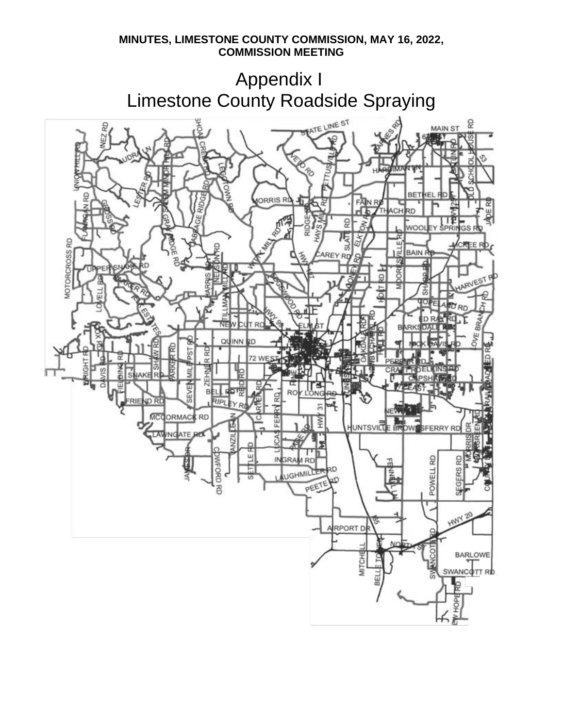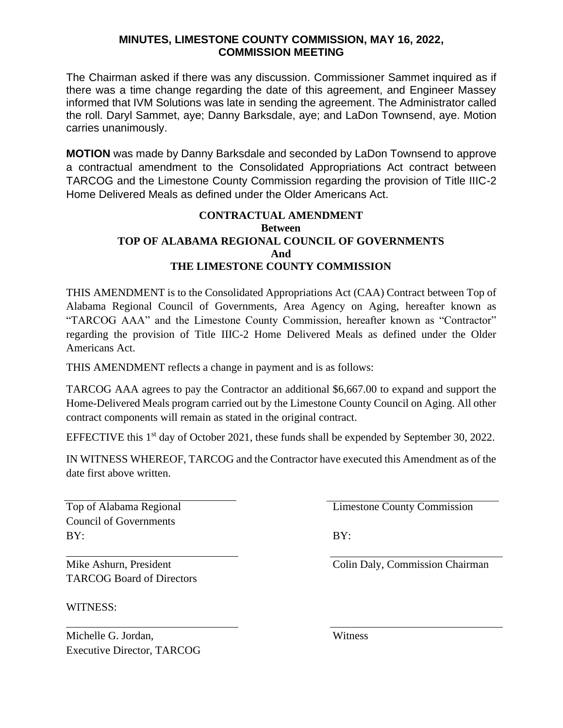The Chairman asked if there was any discussion. Commissioner Sammet inquired as if there was a time change regarding the date of this agreement, and Engineer Massey informed that IVM Solutions was late in sending the agreement. The Administrator called the roll. Daryl Sammet, aye; Danny Barksdale, aye; and LaDon Townsend, aye. Motion carries unanimously.

**MOTION** was made by Danny Barksdale and seconded by LaDon Townsend to approve a contractual amendment to the Consolidated Appropriations Act contract between TARCOG and the Limestone County Commission regarding the provision of Title IIIC-2 Home Delivered Meals as defined under the Older Americans Act.

### **CONTRACTUAL AMENDMENT Between TOP OF ALABAMA REGIONAL COUNCIL OF GOVERNMENTS And THE LIMESTONE COUNTY COMMISSION**

THIS AMENDMENT is to the Consolidated Appropriations Act (CAA) Contract between Top of Alabama Regional Council of Governments, Area Agency on Aging, hereafter known as "TARCOG AAA" and the Limestone County Commission, hereafter known as "Contractor" regarding the provision of Title IIIC-2 Home Delivered Meals as defined under the Older Americans Act.

THIS AMENDMENT reflects a change in payment and is as follows:

TARCOG AAA agrees to pay the Contractor an additional \$6,667.00 to expand and support the Home-Delivered Meals program carried out by the Limestone County Council on Aging. All other contract components will remain as stated in the original contract.

EFFECTIVE this  $1<sup>st</sup>$  day of October 2021, these funds shall be expended by September 30, 2022.

IN WITNESS WHEREOF, TARCOG and the Contractor have executed this Amendment as of the date first above written.

Council of Governments BY: BY:

Top of Alabama Regional **Limestone County Commission** 

Mike Ashurn, President Colin Daly, Commission Chairman TARCOG Board of Directors

WITNESS:

Michelle G. Jordan, Witness Executive Director, TARCOG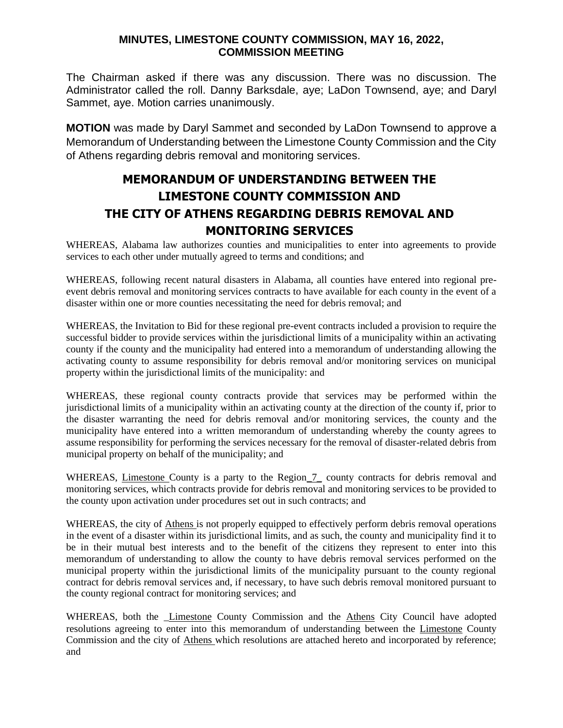The Chairman asked if there was any discussion. There was no discussion. The Administrator called the roll. Danny Barksdale, aye; LaDon Townsend, aye; and Daryl Sammet, aye. Motion carries unanimously.

**MOTION** was made by Daryl Sammet and seconded by LaDon Townsend to approve a Memorandum of Understanding between the Limestone County Commission and the City of Athens regarding debris removal and monitoring services.

# **MEMORANDUM OF UNDERSTANDING BETWEEN THE LIMESTONE COUNTY COMMISSION AND THE CITY OF ATHENS REGARDING DEBRIS REMOVAL AND MONITORING SERVICES**

WHEREAS, Alabama law authorizes counties and municipalities to enter into agreements to provide services to each other under mutually agreed to terms and conditions; and

WHEREAS, following recent natural disasters in Alabama, all counties have entered into regional preevent debris removal and monitoring services contracts to have available for each county in the event of a disaster within one or more counties necessitating the need for debris removal; and

WHEREAS, the Invitation to Bid for these regional pre-event contracts included a provision to require the successful bidder to provide services within the jurisdictional limits of a municipality within an activating county if the county and the municipality had entered into a memorandum of understanding allowing the activating county to assume responsibility for debris removal and/or monitoring services on municipal property within the jurisdictional limits of the municipality: and

WHEREAS, these regional county contracts provide that services may be performed within the jurisdictional limits of a municipality within an activating county at the direction of the county if, prior to the disaster warranting the need for debris removal and/or monitoring services, the county and the municipality have entered into a written memorandum of understanding whereby the county agrees to assume responsibility for performing the services necessary for the removal of disaster-related debris from municipal property on behalf of the municipality; and

WHEREAS, Limestone County is a party to the Region 7 county contracts for debris removal and monitoring services, which contracts provide for debris removal and monitoring services to be provided to the county upon activation under procedures set out in such contracts; and

WHEREAS, the city of Athens is not properly equipped to effectively perform debris removal operations in the event of a disaster within its jurisdictional limits, and as such, the county and municipality find it to be in their mutual best interests and to the benefit of the citizens they represent to enter into this memorandum of understanding to allow the county to have debris removal services performed on the municipal property within the jurisdictional limits of the municipality pursuant to the county regional contract for debris removal services and, if necessary, to have such debris removal monitored pursuant to the county regional contract for monitoring services; and

WHEREAS, both the *Limestone County Commission and the Athens City Council have adopted* resolutions agreeing to enter into this memorandum of understanding between the Limestone County Commission and the city of Athens which resolutions are attached hereto and incorporated by reference; and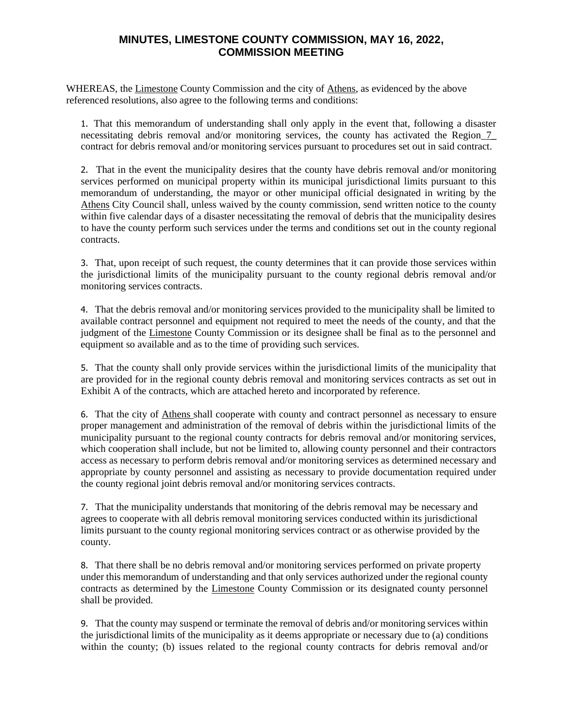WHEREAS, the Limestone County Commission and the city of Athens, as evidenced by the above referenced resolutions, also agree to the following terms and conditions:

1. That this memorandum of understanding shall only apply in the event that, following a disaster necessitating debris removal and/or monitoring services, the county has activated the Region\_7\_ contract for debris removal and/or monitoring services pursuant to procedures set out in said contract.

2. That in the event the municipality desires that the county have debris removal and/or monitoring services performed on municipal property within its municipal jurisdictional limits pursuant to this memorandum of understanding, the mayor or other municipal official designated in writing by the Athens City Council shall, unless waived by the county commission, send written notice to the county within five calendar days of a disaster necessitating the removal of debris that the municipality desires to have the county perform such services under the terms and conditions set out in the county regional contracts.

3. That, upon receipt of such request, the county determines that it can provide those services within the jurisdictional limits of the municipality pursuant to the county regional debris removal and/or monitoring services contracts.

4. That the debris removal and/or monitoring services provided to the municipality shall be limited to available contract personnel and equipment not required to meet the needs of the county, and that the judgment of the Limestone County Commission or its designee shall be final as to the personnel and equipment so available and as to the time of providing such services.

5. That the county shall only provide services within the jurisdictional limits of the municipality that are provided for in the regional county debris removal and monitoring services contracts as set out in Exhibit A of the contracts, which are attached hereto and incorporated by reference.

6. That the city of Athens shall cooperate with county and contract personnel as necessary to ensure proper management and administration of the removal of debris within the jurisdictional limits of the municipality pursuant to the regional county contracts for debris removal and/or monitoring services, which cooperation shall include, but not be limited to, allowing county personnel and their contractors access as necessary to perform debris removal and/or monitoring services as determined necessary and appropriate by county personnel and assisting as necessary to provide documentation required under the county regional joint debris removal and/or monitoring services contracts.

7. That the municipality understands that monitoring of the debris removal may be necessary and agrees to cooperate with all debris removal monitoring services conducted within its jurisdictional limits pursuant to the county regional monitoring services contract or as otherwise provided by the county.

8. That there shall be no debris removal and/or monitoring services performed on private property under this memorandum of understanding and that only services authorized under the regional county contracts as determined by the Limestone County Commission or its designated county personnel shall be provided.

9. That the county may suspend or terminate the removal of debris and/or monitoring services within the jurisdictional limits of the municipality as it deems appropriate or necessary due to (a) conditions within the county; (b) issues related to the regional county contracts for debris removal and/or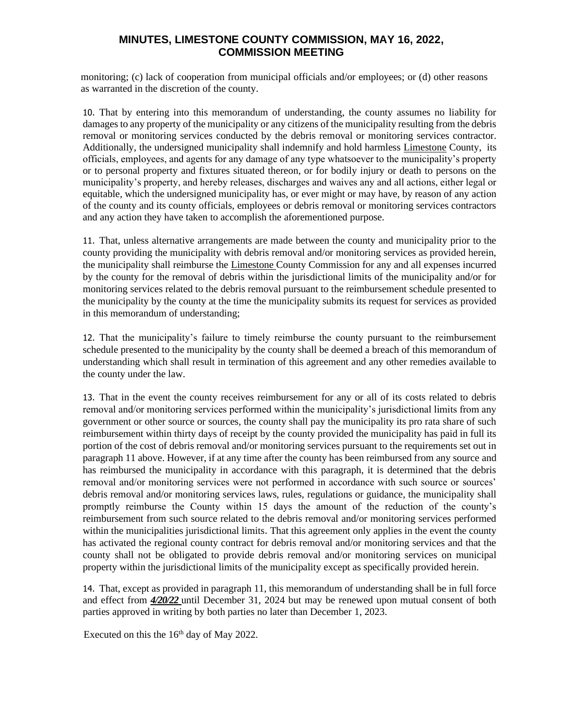monitoring; (c) lack of cooperation from municipal officials and/or employees; or (d) other reasons as warranted in the discretion of the county.

10. That by entering into this memorandum of understanding, the county assumes no liability for damages to any property of the municipality or any citizens of the municipality resulting from the debris removal or monitoring services conducted by the debris removal or monitoring services contractor. Additionally, the undersigned municipality shall indemnify and hold harmless Limestone County, its officials, employees, and agents for any damage of any type whatsoever to the municipality's property or to personal property and fixtures situated thereon, or for bodily injury or death to persons on the municipality's property, and hereby releases, discharges and waives any and all actions, either legal or equitable, which the undersigned municipality has, or ever might or may have, by reason of any action of the county and its county officials, employees or debris removal or monitoring services contractors and any action they have taken to accomplish the aforementioned purpose.

11. That, unless alternative arrangements are made between the county and municipality prior to the county providing the municipality with debris removal and/or monitoring services as provided herein, the municipality shall reimburse the Limestone County Commission for any and all expenses incurred by the county for the removal of debris within the jurisdictional limits of the municipality and/or for monitoring services related to the debris removal pursuant to the reimbursement schedule presented to the municipality by the county at the time the municipality submits its request for services as provided in this memorandum of understanding;

12. That the municipality's failure to timely reimburse the county pursuant to the reimbursement schedule presented to the municipality by the county shall be deemed a breach of this memorandum of understanding which shall result in termination of this agreement and any other remedies available to the county under the law.

13. That in the event the county receives reimbursement for any or all of its costs related to debris removal and/or monitoring services performed within the municipality's jurisdictional limits from any government or other source or sources, the county shall pay the municipality its pro rata share of such reimbursement within thirty days of receipt by the county provided the municipality has paid in full its portion of the cost of debris removal and/or monitoring services pursuant to the requirements set out in paragraph 11 above. However, if at any time after the county has been reimbursed from any source and has reimbursed the municipality in accordance with this paragraph, it is determined that the debris removal and/or monitoring services were not performed in accordance with such source or sources' debris removal and/or monitoring services laws, rules, regulations or guidance, the municipality shall promptly reimburse the County within 15 days the amount of the reduction of the county's reimbursement from such source related to the debris removal and/or monitoring services performed within the municipalities jurisdictional limits. That this agreement only applies in the event the county has activated the regional county contract for debris removal and/or monitoring services and that the county shall not be obligated to provide debris removal and/or monitoring services on municipal property within the jurisdictional limits of the municipality except as specifically provided herein.

14. That, except as provided in paragraph 11, this memorandum of understanding shall be in full force and effect from *4/20/22* until December 31, 2024 but may be renewed upon mutual consent of both parties approved in writing by both parties no later than December 1, 2023.

Executed on this the 16<sup>th</sup> day of May 2022.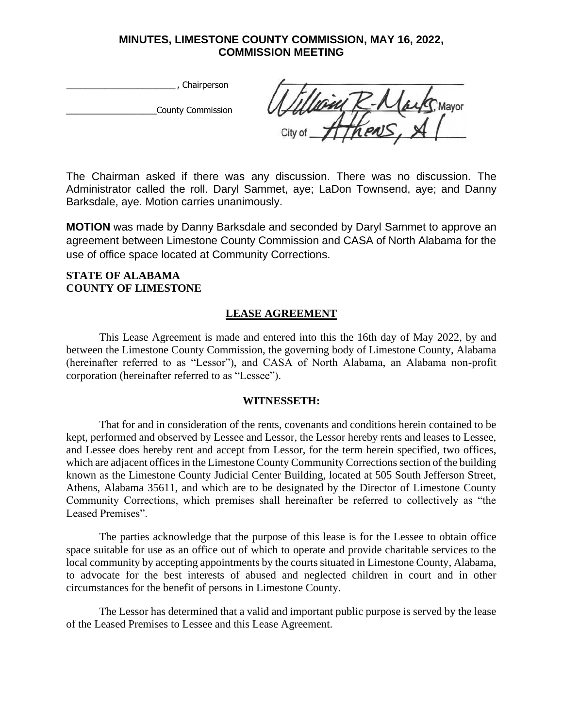\_\_\_\_\_\_\_\_\_\_\_\_\_\_\_\_\_\_\_\_\_\_\_ , Chairperson

\_\_\_\_\_\_\_\_\_\_\_\_\_\_\_\_\_\_\_County Commission

com k Mayor

The Chairman asked if there was any discussion. There was no discussion. The Administrator called the roll. Daryl Sammet, aye; LaDon Townsend, aye; and Danny Barksdale, aye. Motion carries unanimously.

**MOTION** was made by Danny Barksdale and seconded by Daryl Sammet to approve an agreement between Limestone County Commission and CASA of North Alabama for the use of office space located at Community Corrections.

#### **STATE OF ALABAMA COUNTY OF LIMESTONE**

#### **LEASE AGREEMENT**

This Lease Agreement is made and entered into this the 16th day of May 2022, by and between the Limestone County Commission, the governing body of Limestone County, Alabama (hereinafter referred to as "Lessor"), and CASA of North Alabama, an Alabama non-profit corporation (hereinafter referred to as "Lessee").

#### **WITNESSETH:**

That for and in consideration of the rents, covenants and conditions herein contained to be kept, performed and observed by Lessee and Lessor, the Lessor hereby rents and leases to Lessee, and Lessee does hereby rent and accept from Lessor, for the term herein specified, two offices, which are adjacent offices in the Limestone County Community Corrections section of the building known as the Limestone County Judicial Center Building, located at 505 South Jefferson Street, Athens, Alabama 35611, and which are to be designated by the Director of Limestone County Community Corrections, which premises shall hereinafter be referred to collectively as "the Leased Premises".

The parties acknowledge that the purpose of this lease is for the Lessee to obtain office space suitable for use as an office out of which to operate and provide charitable services to the local community by accepting appointments by the courts situated in Limestone County, Alabama, to advocate for the best interests of abused and neglected children in court and in other circumstances for the benefit of persons in Limestone County.

The Lessor has determined that a valid and important public purpose is served by the lease of the Leased Premises to Lessee and this Lease Agreement.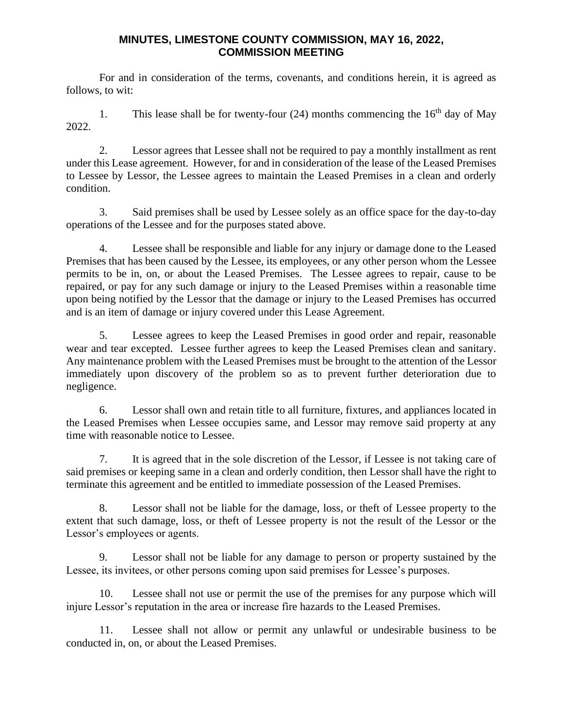For and in consideration of the terms, covenants, and conditions herein, it is agreed as follows, to wit:

1. This lease shall be for twenty-four (24) months commencing the  $16<sup>th</sup>$  day of May 2022.

2. Lessor agrees that Lessee shall not be required to pay a monthly installment as rent under this Lease agreement. However, for and in consideration of the lease of the Leased Premises to Lessee by Lessor, the Lessee agrees to maintain the Leased Premises in a clean and orderly condition.

3. Said premises shall be used by Lessee solely as an office space for the day-to-day operations of the Lessee and for the purposes stated above.

4. Lessee shall be responsible and liable for any injury or damage done to the Leased Premises that has been caused by the Lessee, its employees, or any other person whom the Lessee permits to be in, on, or about the Leased Premises. The Lessee agrees to repair, cause to be repaired, or pay for any such damage or injury to the Leased Premises within a reasonable time upon being notified by the Lessor that the damage or injury to the Leased Premises has occurred and is an item of damage or injury covered under this Lease Agreement.

5. Lessee agrees to keep the Leased Premises in good order and repair, reasonable wear and tear excepted. Lessee further agrees to keep the Leased Premises clean and sanitary. Any maintenance problem with the Leased Premises must be brought to the attention of the Lessor immediately upon discovery of the problem so as to prevent further deterioration due to negligence.

6. Lessor shall own and retain title to all furniture, fixtures, and appliances located in the Leased Premises when Lessee occupies same, and Lessor may remove said property at any time with reasonable notice to Lessee.

7. It is agreed that in the sole discretion of the Lessor, if Lessee is not taking care of said premises or keeping same in a clean and orderly condition, then Lessor shall have the right to terminate this agreement and be entitled to immediate possession of the Leased Premises.

8. Lessor shall not be liable for the damage, loss, or theft of Lessee property to the extent that such damage, loss, or theft of Lessee property is not the result of the Lessor or the Lessor's employees or agents.

9. Lessor shall not be liable for any damage to person or property sustained by the Lessee, its invitees, or other persons coming upon said premises for Lessee's purposes.

10. Lessee shall not use or permit the use of the premises for any purpose which will injure Lessor's reputation in the area or increase fire hazards to the Leased Premises.

11. Lessee shall not allow or permit any unlawful or undesirable business to be conducted in, on, or about the Leased Premises.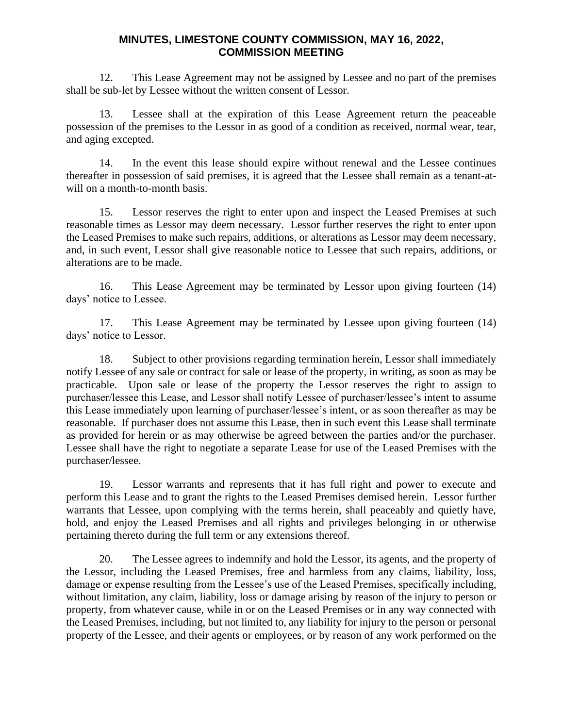12. This Lease Agreement may not be assigned by Lessee and no part of the premises shall be sub-let by Lessee without the written consent of Lessor.

13. Lessee shall at the expiration of this Lease Agreement return the peaceable possession of the premises to the Lessor in as good of a condition as received, normal wear, tear, and aging excepted.

14. In the event this lease should expire without renewal and the Lessee continues thereafter in possession of said premises, it is agreed that the Lessee shall remain as a tenant-atwill on a month-to-month basis.

15. Lessor reserves the right to enter upon and inspect the Leased Premises at such reasonable times as Lessor may deem necessary. Lessor further reserves the right to enter upon the Leased Premises to make such repairs, additions, or alterations as Lessor may deem necessary, and, in such event, Lessor shall give reasonable notice to Lessee that such repairs, additions, or alterations are to be made.

16. This Lease Agreement may be terminated by Lessor upon giving fourteen (14) days' notice to Lessee.

17. This Lease Agreement may be terminated by Lessee upon giving fourteen (14) days' notice to Lessor.

18. Subject to other provisions regarding termination herein, Lessor shall immediately notify Lessee of any sale or contract for sale or lease of the property, in writing, as soon as may be practicable. Upon sale or lease of the property the Lessor reserves the right to assign to purchaser/lessee this Lease, and Lessor shall notify Lessee of purchaser/lessee's intent to assume this Lease immediately upon learning of purchaser/lessee's intent, or as soon thereafter as may be reasonable. If purchaser does not assume this Lease, then in such event this Lease shall terminate as provided for herein or as may otherwise be agreed between the parties and/or the purchaser. Lessee shall have the right to negotiate a separate Lease for use of the Leased Premises with the purchaser/lessee.

19. Lessor warrants and represents that it has full right and power to execute and perform this Lease and to grant the rights to the Leased Premises demised herein. Lessor further warrants that Lessee, upon complying with the terms herein, shall peaceably and quietly have, hold, and enjoy the Leased Premises and all rights and privileges belonging in or otherwise pertaining thereto during the full term or any extensions thereof.

20. The Lessee agrees to indemnify and hold the Lessor, its agents, and the property of the Lessor, including the Leased Premises, free and harmless from any claims, liability, loss, damage or expense resulting from the Lessee's use of the Leased Premises, specifically including, without limitation, any claim, liability, loss or damage arising by reason of the injury to person or property, from whatever cause, while in or on the Leased Premises or in any way connected with the Leased Premises, including, but not limited to, any liability for injury to the person or personal property of the Lessee, and their agents or employees, or by reason of any work performed on the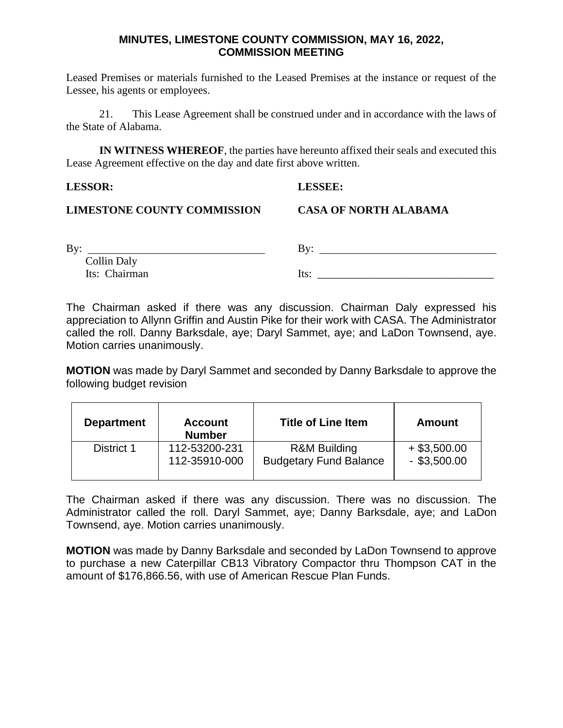Leased Premises or materials furnished to the Leased Premises at the instance or request of the Lessee, his agents or employees.

21. This Lease Agreement shall be construed under and in accordance with the laws of the State of Alabama.

**IN WITNESS WHEREOF**, the parties have hereunto affixed their seals and executed this Lease Agreement effective on the day and date first above written.

#### **LESSOR: LESSEE:**

#### **LIMESTONE COUNTY COMMISSION CASA OF NORTH ALABAMA**

| By:                | By:  |
|--------------------|------|
| <b>Collin Daly</b> |      |
| Its: Chairman      | lts: |

The Chairman asked if there was any discussion. Chairman Daly expressed his appreciation to Allynn Griffin and Austin Pike for their work with CASA. The Administrator called the roll. Danny Barksdale, aye; Daryl Sammet, aye; and LaDon Townsend, aye. Motion carries unanimously.

**MOTION** was made by Daryl Sammet and seconded by Danny Barksdale to approve the following budget revision

| <b>Department</b> | <b>Account</b><br><b>Number</b> | <b>Title of Line Item</b>     | Amount         |
|-------------------|---------------------------------|-------------------------------|----------------|
| District 1        | 112-53200-231                   | <b>R&amp;M Building</b>       | $+$ \$3,500.00 |
|                   | 112-35910-000                   | <b>Budgetary Fund Balance</b> | $-$ \$3,500.00 |

The Chairman asked if there was any discussion. There was no discussion. The Administrator called the roll. Daryl Sammet, aye; Danny Barksdale, aye; and LaDon Townsend, aye. Motion carries unanimously.

**MOTION** was made by Danny Barksdale and seconded by LaDon Townsend to approve to purchase a new Caterpillar CB13 Vibratory Compactor thru Thompson CAT in the amount of \$176,866.56, with use of American Rescue Plan Funds.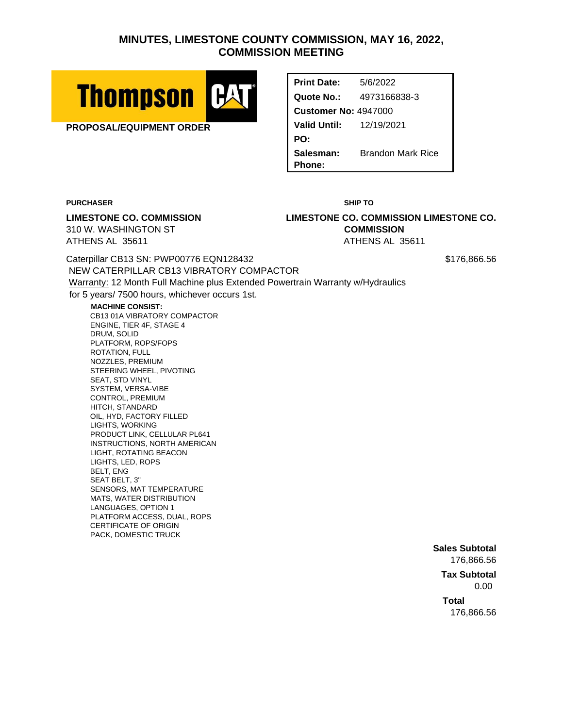

**PROPOSAL/EQUIPMENT ORDER**

**Print Date:** 5/6/2022 **Quote No.:** 4973166838-3 **Customer No:** 4947000 **Valid Until:** 12/19/2021 **PO: Salesman:** Brandon Mark Rice **Phone:**

**PURCHASER SHIP TO**

**LIMESTONE CO. COMMISSION LIMESTONE CO. COMMISSION LIMESTONE CO.** 310 W. WASHINGTON ST **COMMISSION** ATHENS AL 35611 ATHENS AL 35611

Caterpillar CB13 SN: PWP00776 EQN128432 \$176,866.56 NEW CATERPILLAR CB13 VIBRATORY COMPACTOR Warranty: 12 Month Full Machine plus Extended Powertrain Warranty w/Hydraulics for 5 years/ 7500 hours, whichever occurs 1st.

**MACHINE CONSIST:**

CB13 01A VIBRATORY COMPACTOR ENGINE, TIER 4F, STAGE 4 DRUM, SOLID PLATFORM, ROPS/FOPS ROTATION, FULL NOZZLES, PREMIUM STEERING WHEEL, PIVOTING SEAT, STD VINYL SYSTEM, VERSA-VIBE CONTROL, PREMIUM HITCH, STANDARD OIL, HYD, FACTORY FILLED LIGHTS, WORKING PRODUCT LINK, CELLULAR PL641 INSTRUCTIONS, NORTH AMERICAN LIGHT, ROTATING BEACON LIGHTS, LED, ROPS BELT, ENG SEAT BELT, 3" SENSORS, MAT TEMPERATURE MATS, WATER DISTRIBUTION LANGUAGES, OPTION 1 PLATFORM ACCESS, DUAL, ROPS CERTIFICATE OF ORIGIN PACK, DOMESTIC TRUCK

**Sales Subtotal** 176,866.56

**Tax Subtotal** 0.00

**Total** 176,866.56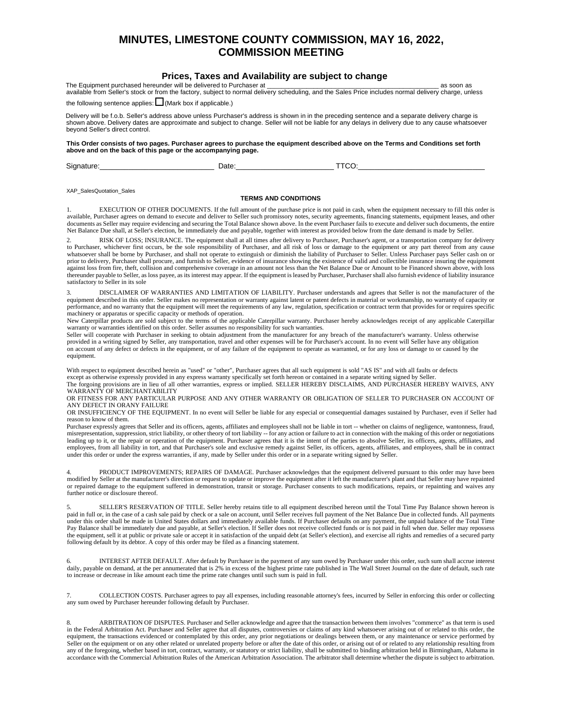#### **Prices, Taxes and Availability are subject to change**

The Equipment purchased hereunder will be delivered to Purchaser at \_\_\_\_\_\_\_\_\_\_\_\_\_\_\_\_\_\_\_\_\_\_\_\_\_\_\_\_\_\_\_\_\_\_\_\_\_\_\_\_\_\_\_\_\_\_\_\_ as soon as available from Seller's stock or from the factory, subject to normal delivery scheduling, and the Sales Price includes normal delivery charge, unless the following sentence applies:  $\Box$  (Mark box if applicable.)

Delivery will be f.o.b. Seller's address above unless Purchaser's address is shown in in the preceding sentence and a separate delivery charge is shown above. Delivery dates are approximate and subject to change. Seller will not be liable for any delays in delivery due to any cause whatsoever beyond Seller's direct control.

**This Order consists of two pages. Purchaser agrees to purchase the equipment described above on the Terms and Conditions set forth above and on the back of this page or the accompanying page.**

Signature:\_\_\_\_\_\_\_\_\_\_\_\_\_\_\_\_\_\_\_\_\_\_\_\_\_\_\_\_ Date:\_\_\_\_\_\_\_\_\_\_\_\_\_\_\_\_\_\_\_\_\_\_\_\_ TTCO:\_\_\_\_\_\_\_\_\_\_\_\_\_\_\_\_\_\_\_\_\_\_\_\_\_\_\_\_\_\_\_

XAP\_SalesQuotation\_Sales

#### **TERMS AND CONDITIONS**

1. EXECUTION OF OTHER DOCUMENTS. If the full amount of the purchase price is not paid in cash, when the equipment necessary to fill this order is available, Purchaser agrees on demand to execute and deliver to Seller such promissory notes, security agreements, financing statements, equipment leases, and other documents as Seller may require evidencing and securing the Total Balance shown above. In the event Purchaser fails to execute and deliver such documents, the entire Net Balance Due shall, at Seller's election, be immediately due and payable, together with interest as provided below from the date demand is made by Seller.

2. RISK OF LOSS; INSURANCE. The equipment shall at all times after delivery to Purchaser, Purchaser's agent, or a transportation company for delivery to Purchaser, whichever first occurs, be the sole responsibility of Purchaser, and all risk of loss or damage to the equipment or any part thereof from any cause whatsoever shall be borne by Purchaser, and shall not operate to extinguish or diminish the liability of Purchaser to Seller. Unless Purchaser pays Seller cash on or prior to delivery, Purchaser shall procure, and furnish to Seller, evidence of insurance showing the existence of valid and collectible insurance insuring the equipment against loss from fire, theft, collision and comprehensive coverage in an amount not less than the Net Balance Due or Amount to be Financed shown above, with loss thereunder payable to Seller, as loss payee, as its interest may appear. If the equipment is leased by Purchaser, Purchaser shall also furnish evidence of liability insurance satisfactory to Seller in its sole

3. DISCLAIMER OF WARRANTIES AND LIMITATION OF LIABILITY. Purchaser understands and agrees that Seller is not the manufacturer of the equipment described in this order. Seller makes no representation or warranty against latent or patent defects in material or workmanship, no warranty of capacity or performance, and no warranty that the equipment will meet the requirements of any law, regulation, specification or contract term that provides for or requires specific machinery or apparatus or specific capacity or methods of operation.

New Caterpillar products are sold subject to the terms of the applicable Caterpillar warranty. Purchaser hereby acknowledges receipt of any applicable Caterpillar warranty or warranties identified on this order. Seller assumes no responsibility for such warranties.

Seller will cooperate with Purchaser in seeking to obtain adjustment from the manufacturer for any breach of the manufacturer's warranty. Unless otherwise provided in a writing signed by Seller, any transportation, travel and other expenses will be for Purchaser's account. In no event will Seller have any obligation on account of any defect or defects in the equipment, or of any failure of the equipment to operate as warranted, or for any loss or damage to or caused by the equipment.

With respect to equipment described herein as "used" or "other", Purchaser agrees that all such equipment is sold "AS IS" and with all faults or defects except as otherwise expressly provided in any express warranty specifically set forth hereon or contained in a separate writing signed by Seller. The forgoing provisions are in lieu of all other warranties, express or implied. SELLER HEREBY DISCLAIMS, AND PURCHASER HEREBY WAIVES, ANY

WARRANTY OF MERCHANTABILITY OR FITNESS FOR ANY PARTICULAR PURPOSE AND ANY OTHER WARRANTY OR OBLIGATION OF SELLER TO PURCHASER ON ACCOUNT OF ANY DEFECT IN ORANY FAILURE

OR INSUFFICIENCY OF THE EQUIPMENT. In no event will Seller be liable for any especial or consequential damages sustained by Purchaser, even if Seller had reason to know of them.

Purchaser expressly agrees that Seller and its officers, agents, affiliates and employees shall not be liable in tort -- whether on claims of negligence, wantonness, fraud, misrepresentation, suppression, strict liability, or other theory of tort liability -- for any action or failure to act in connection with the making of this order or negotiations leading up to it, or the repair or operation of the equipment. Purchaser agrees that it is the intent of the parties to absolve Seller, its officers, agents, affiliates, and employees, from all liability in tort, and that Purchaser's sole and exclusive remedy against Seller, its officers, agents, affiliates, and employees, shall be in contract under this order or under the express warranties, if any, made by Seller under this order or in a separate writing signed by Seller.

4. PRODUCT IMPROVEMENTS; REPAIRS OF DAMAGE. Purchaser acknowledges that the equipment delivered pursuant to this order may have been modified by Seller at the manufacturer's direction or request to update or improve the equipment after it left the manufacturer's plant and that Seller may have repainted or repaired damage to the equipment suffered in demonstration, transit or storage. Purchaser consents to such modifications, repairs, or repainting and waives any further notice or disclosure thereof.

SELLER'S RESERVATION OF TITLE. Seller hereby retains title to all equipment described hereon until the Total Time Pay Balance shown hereon is paid in full or, in the case of a cash sale paid by check or a sale on account, until Seller receives full payment of the Net Balance Due in collected funds. All payments under this order shall be made in United States dollars and immediately available funds. If Purchaser defaults on any payment, the unpaid balance of the Total Time Pay Balance shall be immediately due and payable, at Seller's election. If Seller does not receive collected funds or is not paid in full when due. Seller may repossess<br>the equipment, sell it at public or private sale or a following default by its debtor. A copy of this order may be filed as a financing statement.

6. INTEREST AFTER DEFAULT. After default by Purchaser in the payment of any sum owed by Purchaser under this order, such sum shall accrue interest daily, payable on demand, at the per annumerated that is 2% in excess of the highest prime rate published in The Wall Street Journal on the date of default, such rate published in The Wall Street Journal on the date of def to increase or decrease in like amount each time the prime rate changes until such sum is paid in full.

7. COLLECTION COSTS. Purchaser agrees to pay all expenses, including reasonable attorney's fees, incurred by Seller in enforcing this order or collecting any sum owed by Purchaser hereunder following default by Purchaser.

8. ARBITRATION OF DISPUTES. Purchaser and Seller acknowledge and agree that the transaction between them involves "commerce" as that term is used in the Federal Arbitration Act. Purchaser and Seller agree that all disputes, controversies or claims of any kind whatsoever arising out of or related to this order, the equipment, the transactions evidenced or contemplated by this order, any prior negotiations or dealings between them, or any maintenance or service performed by the order, any prior negotiations or dealings between them, o Seller on the equipment or on any other related or unrelated property before or after the date of this order, or arising out of or related to any relationship resulting from any of the foregoing, whether based in tort, contract, warranty, or statutory or strict liability, shall be submitted to binding arbitration held in Birmingham, Alabama in accordance with the Commercial Arbitration Rules of the American Arbitration Association. The arbitrator shall determine whether the dispute is subject to arbitration.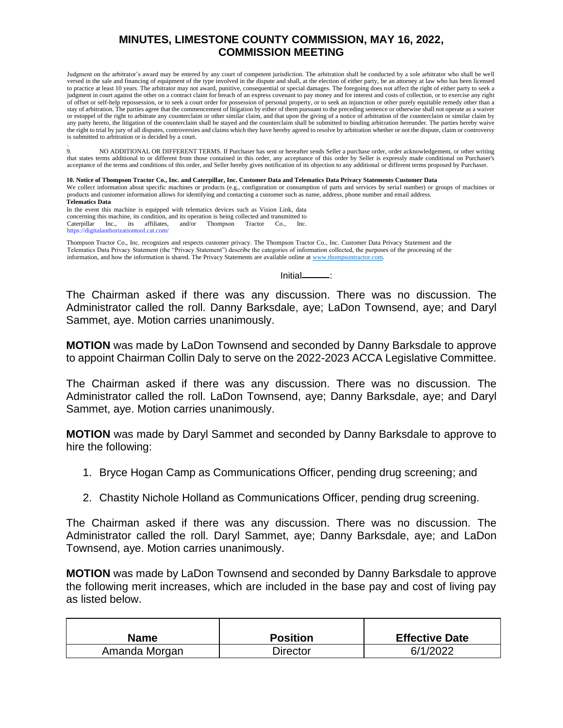Judgment on the arbitrator's award may be entered by any court of competent jurisdiction. The arbitration shall be conducted by a sole arbitrator who shall be well versed in the sale and financing of equipment of the type involved in the dispute and shall, at the election of either party, be an attorney at law who has been licensed to practice at least 10 years. The arbitrator may not award, punitive, consequential or special damages. The foregoing does not affect the right of either party to seek a judgment in court against the other on a contract claim for breach of an express covenant to pay money and for interest and costs of collection, or to exercise any right of offset or self-help repossession, or to seek a court order for possession of personal property, or to seek an injunction or other purely equitable remedy other than a stay of arbitration. The parties agree that the commencement of litigation by either of them pursuant to the preceding sentence or otherwise shall not operate as a waiver or estoppel of the right to arbitrate any counterclaim or other similar claim, and that upon the giving of a notice of arbitration of the counterclaim or similar claim by any party hereto, the litigation of the counterclaim shall be stayed and the counterclaim shall be submitted to binding arbitration hereunder. The parties hereby waive the right to trial by jury of all disputes, controversies and claims which they have hereby agreed to resolve by arbitration whether or not the dispute, claim or controversy is submitted to arbitration or is decided by a court.

. 9. NO ADDITIONAL OR DIFFERENT TERMS. If Purchaser has sent or hereafter sends Seller a purchase order, order acknowledgement, or other writing that states terms additional to or different from those contained in this order, any acceptance of this order by Seller is expressly made conditional on Purchaser's acceptance of the terms and conditions of this order, and Seller hereby gives notification of its objection to any additional or different terms proposed by Purchaser.

#### **10. Notice of Thompson Tractor Co., Inc. and Caterpillar, Inc. Customer Data and Telematics Data Privacy Statements Customer Data**

We collect information about specific machines or products (e.g., configuration or consumption of parts and services by serial number) or groups of machines or products and customer information allows for identifying and contacting a customer such as name, address, phone number and email address. **Telematics Data**

In the event this machine is equipped with telematics devices such as Vision Link, data concerning this machine, its condition, and its operation is being collected and transmitted to Caterpillar Inc., its affiliates, and/or Thompson Tractor Co., Inc. Thompson https://digitalauthorizationtool.cat.com/

Thompson Tractor Co., Inc. recognizes and respects customer privacy. The Thompson Tractor Co., Inc. Customer Data Privacy Statement and the Telematics Data Privacy Statement (the "Privacy Statement") describe the categories of information collected, the purposes of the processing of the information, and how the information is shared. The Privacy Statements are available online a[t www.thompsontractor.com.](http://www.thompsontractor.com/)

 $Initial$  :

The Chairman asked if there was any discussion. There was no discussion. The Administrator called the roll. Danny Barksdale, aye; LaDon Townsend, aye; and Daryl Sammet, aye. Motion carries unanimously.

**MOTION** was made by LaDon Townsend and seconded by Danny Barksdale to approve to appoint Chairman Collin Daly to serve on the 2022-2023 ACCA Legislative Committee.

The Chairman asked if there was any discussion. There was no discussion. The Administrator called the roll. LaDon Townsend, aye; Danny Barksdale, aye; and Daryl Sammet, aye. Motion carries unanimously.

**MOTION** was made by Daryl Sammet and seconded by Danny Barksdale to approve to hire the following:

- 1. Bryce Hogan Camp as Communications Officer, pending drug screening; and
- 2. Chastity Nichole Holland as Communications Officer, pending drug screening.

The Chairman asked if there was any discussion. There was no discussion. The Administrator called the roll. Daryl Sammet, aye; Danny Barksdale, aye; and LaDon Townsend, aye. Motion carries unanimously.

**MOTION** was made by LaDon Townsend and seconded by Danny Barksdale to approve the following merit increases, which are included in the base pay and cost of living pay as listed below.

| Name          | <b>Position</b> | <b>Effective Date</b> |  |
|---------------|-----------------|-----------------------|--|
| Amanda Morgan | Director        | 6/1/2022              |  |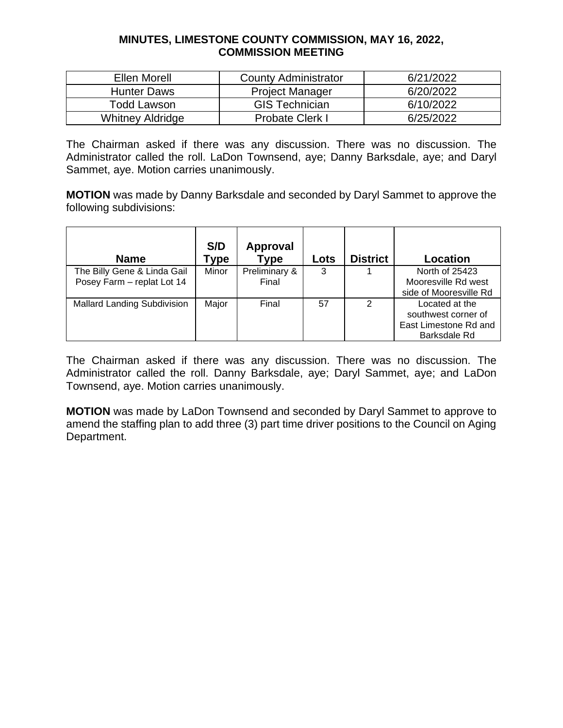| Ellen Morell            | <b>County Administrator</b>         | 6/21/2022 |
|-------------------------|-------------------------------------|-----------|
| <b>Hunter Daws</b>      | 6/20/2022<br><b>Project Manager</b> |           |
| Todd Lawson             | <b>GIS Technician</b>               | 6/10/2022 |
| <b>Whitney Aldridge</b> | Probate Clerk I                     | 6/25/2022 |

The Chairman asked if there was any discussion. There was no discussion. The Administrator called the roll. LaDon Townsend, aye; Danny Barksdale, aye; and Daryl Sammet, aye. Motion carries unanimously.

**MOTION** was made by Danny Barksdale and seconded by Daryl Sammet to approve the following subdivisions:

| <b>Name</b>                        | S/D<br>Гуре | <b>Approval</b><br>Type | Lots | <b>District</b> | Location               |
|------------------------------------|-------------|-------------------------|------|-----------------|------------------------|
| The Billy Gene & Linda Gail        | Minor       | Preliminary &           | 3    |                 | North of 25423         |
| Posey Farm - replat Lot 14         |             | Final                   |      |                 | Mooresville Rd west    |
|                                    |             |                         |      |                 | side of Mooresville Rd |
| <b>Mallard Landing Subdivision</b> | Major       | Final                   | 57   | 2               | Located at the         |
|                                    |             |                         |      |                 | southwest corner of    |
|                                    |             |                         |      |                 | East Limestone Rd and  |
|                                    |             |                         |      |                 | Barksdale Rd           |

The Chairman asked if there was any discussion. There was no discussion. The Administrator called the roll. Danny Barksdale, aye; Daryl Sammet, aye; and LaDon Townsend, aye. Motion carries unanimously.

**MOTION** was made by LaDon Townsend and seconded by Daryl Sammet to approve to amend the staffing plan to add three (3) part time driver positions to the Council on Aging Department.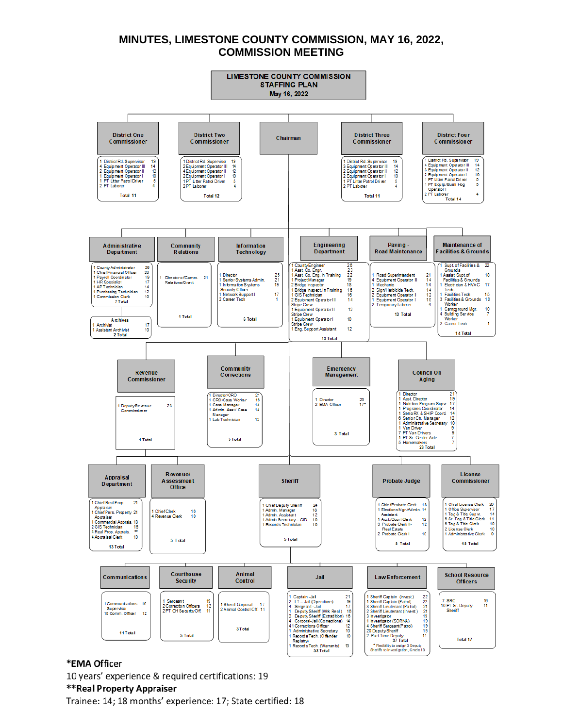

#### \*EMA Officer

10 years' experience & required certifications: 19

#### \*\*Real Property Appraiser

Trainee: 14; 18 months' experience: 17; State certified: 18